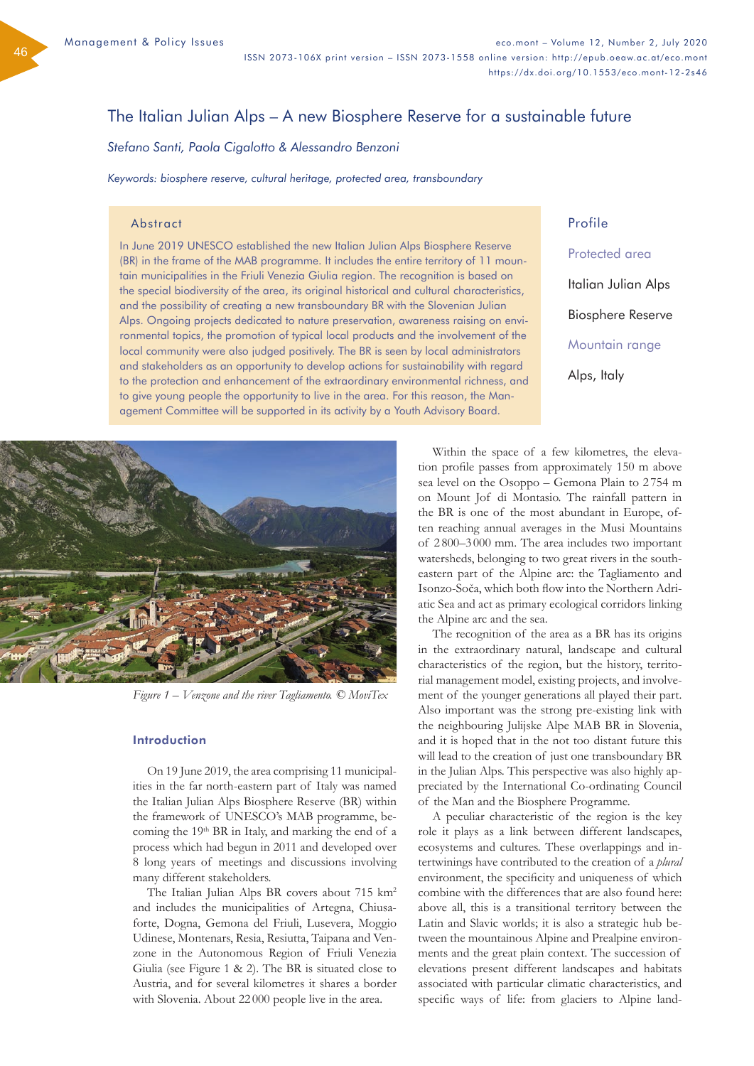46

# The Italian Julian Alps – A new Biosphere Reserve for a sustainable future

*Stefano Santi, Paola Cigalotto & Alessandro Benzoni*

*Keywords: biosphere reserve, cultural heritage, protected area, transboundary*

#### Abstract

In June 2019 UNESCO established the new Italian Julian Alps Biosphere Reserve (BR) in the frame of the MAB programme. It includes the entire territory of 11 mountain municipalities in the Friuli Venezia Giulia region. The recognition is based on the special biodiversity of the area, its original historical and cultural characteristics, and the possibility of creating a new transboundary BR with the Slovenian Julian Alps. Ongoing projects dedicated to nature preservation, awareness raising on environmental topics, the promotion of typical local products and the involvement of the local community were also judged positively. The BR is seen by local administrators and stakeholders as an opportunity to develop actions for sustainability with regard to the protection and enhancement of the extraordinary environmental richness, and to give young people the opportunity to live in the area. For this reason, the Management Committee will be supported in its activity by a Youth Advisory Board.

Profile Protected area Italian Julian Alps Biosphere Reserve Mountain range Alps, Italy



*Figure 1 – Venzone and the river Tagliamento. © MoviTex*

#### Introduction

On 19 June 2019, the area comprising 11 municipalities in the far north-eastern part of Italy was named the Italian Julian Alps Biosphere Reserve (BR) within the framework of UNESCO's MAB programme, becoming the 19<sup>th</sup> BR in Italy, and marking the end of a process which had begun in 2011 and developed over 8 long years of meetings and discussions involving many different stakeholders.

The Italian Julian Alps BR covers about 715 km<sup>2</sup> and includes the municipalities of Artegna, Chiusaforte, Dogna, Gemona del Friuli, Lusevera, Moggio Udinese, Montenars, Resia, Resiutta, Taipana and Venzone in the Autonomous Region of Friuli Venezia Giulia (see Figure 1 & 2). The BR is situated close to Austria, and for several kilometres it shares a border with Slovenia. About 22 000 people live in the area.

Within the space of a few kilometres, the elevation profile passes from approximately 150 m above sea level on the Osoppo – Gemona Plain to 2 754 m on Mount Jof di Montasio. The rainfall pattern in the BR is one of the most abundant in Europe, often reaching annual averages in the Musi Mountains of 2 800–3 000 mm. The area includes two important watersheds, belonging to two great rivers in the southeastern part of the Alpine arc: the Tagliamento and Isonzo-Soča, which both flow into the Northern Adriatic Sea and act as primary ecological corridors linking the Alpine arc and the sea.

The recognition of the area as a BR has its origins in the extraordinary natural, landscape and cultural characteristics of the region, but the history, territorial management model, existing projects, and involvement of the younger generations all played their part. Also important was the strong pre-existing link with the neighbouring Julijske Alpe MAB BR in Slovenia, and it is hoped that in the not too distant future this will lead to the creation of just one transboundary BR in the Julian Alps. This perspective was also highly appreciated by the International Co-ordinating Council of the Man and the Biosphere Programme.

A peculiar characteristic of the region is the key role it plays as a link between different landscapes, ecosystems and cultures. These overlappings and intertwinings have contributed to the creation of a *plural* environment, the specificity and uniqueness of which combine with the differences that are also found here: above all, this is a transitional territory between the Latin and Slavic worlds; it is also a strategic hub between the mountainous Alpine and Prealpine environments and the great plain context. The succession of elevations present different landscapes and habitats associated with particular climatic characteristics, and specific ways of life: from glaciers to Alpine land-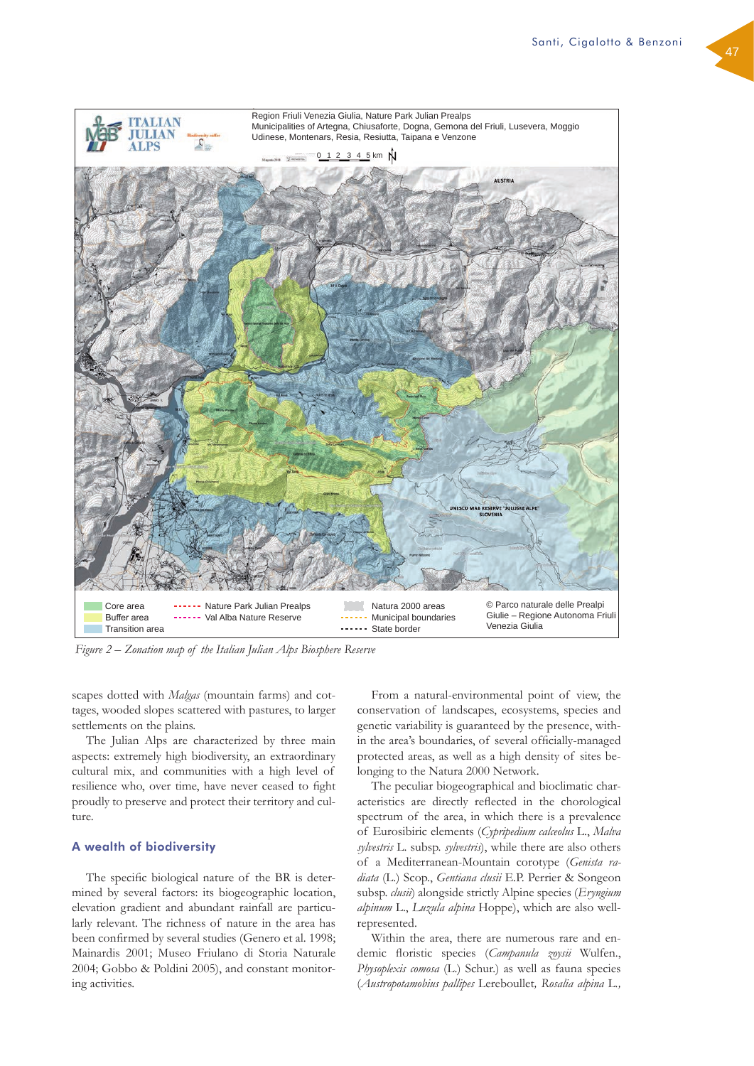

*Figure 2 – Zonation map of the Italian Julian Alps Biosphere Reserve*

scapes dotted with *Malgas* (mountain farms) and cottages, wooded slopes scattered with pastures, to larger settlements on the plains.

The Julian Alps are characterized by three main aspects: extremely high biodiversity, an extraordinary cultural mix, and communities with a high level of resilience who, over time, have never ceased to fight proudly to preserve and protect their territory and culture.

## A wealth of biodiversity

The specific biological nature of the BR is determined by several factors: its biogeographic location, elevation gradient and abundant rainfall are particularly relevant. The richness of nature in the area has been confirmed by several studies (Genero et al. 1998; Mainardis 2001; Museo Friulano di Storia Naturale 2004; Gobbo & Poldini 2005), and constant monitoring activities.

From a natural-environmental point of view, the conservation of landscapes, ecosystems, species and genetic variability is guaranteed by the presence, within the area's boundaries, of several officially-managed protected areas, as well as a high density of sites belonging to the Natura 2000 Network.

The peculiar biogeographical and bioclimatic characteristics are directly reflected in the chorological spectrum of the area, in which there is a prevalence of Eurosibiric elements (*Cypripedium calceolus* L., *Malva sylvestris* L. subsp. *sylvestris*), while there are also others of a Mediterranean-Mountain corotype (*Genista radiata* (L.) Scop., *Gentiana clusii* E.P. Perrier & Songeon subsp. *clusii*) alongside strictly Alpine species (*Eryngium alpinum* L., *Luzula alpina* Hoppe), which are also wellrepresented.

Within the area, there are numerous rare and endemic floristic species (*Campanula zoysii* Wulfen., *Physoplexis comosa* (L.) Schur.) as well as fauna species (*Austropotamobius pallipes* Lereboullet*, Rosalia alpina* L*.,*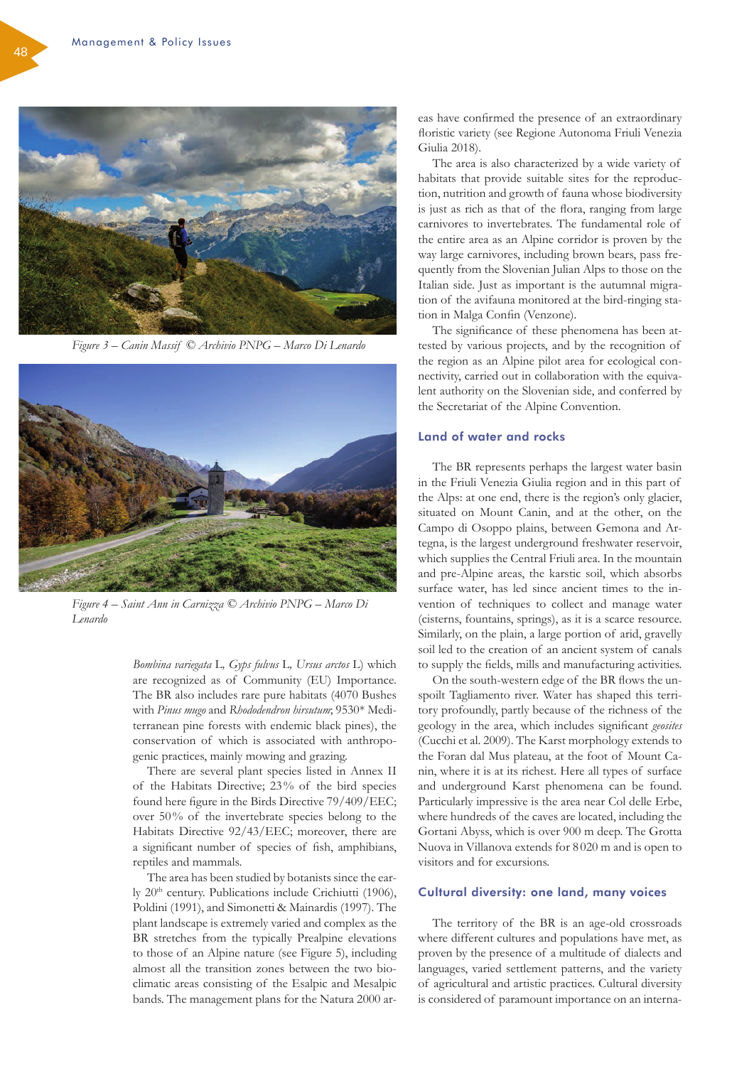

*Figure 3 – Canin Massif © Archivio PNPG – Marco Di Lenardo*



*Figure 4 – Saint Ann in Carnizza © Archivio PNPG – Marco Di Lenardo*

*Bombina variegata* L*, Gyps fulvus* L*, Ursus arctos* L) which are recognized as of Community (EU) Importance. The BR also includes rare pure habitats (4070 Bushes with *Pinus mugo* and *Rhododendron hirsutum*; 9530\* Mediterranean pine forests with endemic black pines), the conservation of which is associated with anthropogenic practices, mainly mowing and grazing.

There are several plant species listed in Annex II of the Habitats Directive; 23% of the bird species found here figure in the Birds Directive 79/409/EEC; over 50% of the invertebrate species belong to the Habitats Directive 92/43/EEC; moreover, there are a significant number of species of fish, amphibians, reptiles and mammals.

The area has been studied by botanists since the early 20<sup>th</sup> century. Publications include Crichiutti (1906), Poldini (1991), and Simonetti & Mainardis (1997). The plant landscape is extremely varied and complex as the BR stretches from the typically Prealpine elevations to those of an Alpine nature (see Figure 5), including almost all the transition zones between the two bioclimatic areas consisting of the Esalpic and Mesalpic bands. The management plans for the Natura 2000 areas have confirmed the presence of an extraordinary floristic variety (see Regione Autonoma Friuli Venezia Giulia 2018).

The area is also characterized by a wide variety of habitats that provide suitable sites for the reproduction, nutrition and growth of fauna whose biodiversity is just as rich as that of the flora, ranging from large carnivores to invertebrates. The fundamental role of the entire area as an Alpine corridor is proven by the way large carnivores, including brown bears, pass frequently from the Slovenian Julian Alps to those on the Italian side. Just as important is the autumnal migration of the avifauna monitored at the bird-ringing station in Malga Confin (Venzone).

The significance of these phenomena has been attested by various projects, and by the recognition of the region as an Alpine pilot area for ecological connectivity, carried out in collaboration with the equivalent authority on the Slovenian side, and conferred by the Secretariat of the Alpine Convention.

## Land of water and rocks

The BR represents perhaps the largest water basin in the Friuli Venezia Giulia region and in this part of the Alps: at one end, there is the region's only glacier, situated on Mount Canin, and at the other, on the Campo di Osoppo plains, between Gemona and Artegna, is the largest underground freshwater reservoir, which supplies the Central Friuli area. In the mountain and pre-Alpine areas, the karstic soil, which absorbs surface water, has led since ancient times to the invention of techniques to collect and manage water (cisterns, fountains, springs), as it is a scarce resource. Similarly, on the plain, a large portion of arid, gravelly soil led to the creation of an ancient system of canals to supply the fields, mills and manufacturing activities.

On the south-western edge of the BR flows the unspoilt Tagliamento river. Water has shaped this territory profoundly, partly because of the richness of the geology in the area, which includes significant *geosites* (Cucchi et al. 2009). The Karst morphology extends to the Foran dal Mus plateau, at the foot of Mount Canin, where it is at its richest. Here all types of surface and underground Karst phenomena can be found. Particularly impressive is the area near Col delle Erbe, where hundreds of the caves are located, including the Gortani Abyss, which is over 900 m deep. The Grotta Nuova in Villanova extends for 8 020 m and is open to visitors and for excursions.

## Cultural diversity: one land, many voices

The territory of the BR is an age-old crossroads where different cultures and populations have met, as proven by the presence of a multitude of dialects and languages, varied settlement patterns, and the variety of agricultural and artistic practices. Cultural diversity is considered of paramount importance on an interna-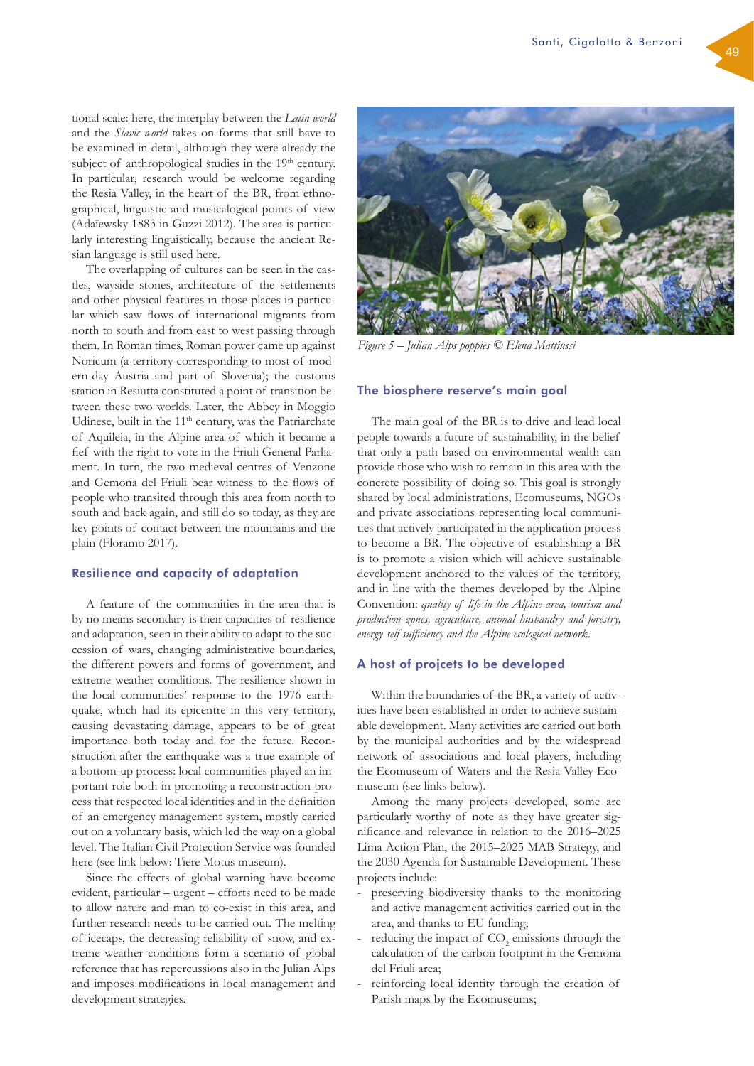tional scale: here, the interplay between the *Latin world* and the *Slavic world* takes on forms that still have to be examined in detail, although they were already the subject of anthropological studies in the  $19<sup>th</sup>$  century. In particular, research would be welcome regarding the Resia Valley, in the heart of the BR, from ethnographical, linguistic and musicalogical points of view (Adaïewsky 1883 in Guzzi 2012). The area is particularly interesting linguistically, because the ancient Resian language is still used here.

The overlapping of cultures can be seen in the castles, wayside stones, architecture of the settlements and other physical features in those places in particular which saw flows of international migrants from north to south and from east to west passing through them. In Roman times, Roman power came up against Noricum (a territory corresponding to most of modern-day Austria and part of Slovenia); the customs station in Resiutta constituted a point of transition between these two worlds. Later, the Abbey in Moggio Udinese, built in the 11<sup>th</sup> century, was the Patriarchate of Aquileia, in the Alpine area of which it became a fief with the right to vote in the Friuli General Parliament. In turn, the two medieval centres of Venzone and Gemona del Friuli bear witness to the flows of people who transited through this area from north to south and back again, and still do so today, as they are key points of contact between the mountains and the plain (Floramo 2017).

### Resilience and capacity of adaptation

A feature of the communities in the area that is by no means secondary is their capacities of resilience and adaptation, seen in their ability to adapt to the succession of wars, changing administrative boundaries, the different powers and forms of government, and extreme weather conditions. The resilience shown in the local communities' response to the 1976 earthquake, which had its epicentre in this very territory, causing devastating damage, appears to be of great importance both today and for the future. Reconstruction after the earthquake was a true example of a bottom-up process: local communities played an important role both in promoting a reconstruction process that respected local identities and in the definition of an emergency management system, mostly carried out on a voluntary basis, which led the way on a global level. The Italian Civil Protection Service was founded here (see link below: Tiere Motus museum).

Since the effects of global warning have become evident, particular – urgent – efforts need to be made to allow nature and man to co-exist in this area, and further research needs to be carried out. The melting of icecaps, the decreasing reliability of snow, and extreme weather conditions form a scenario of global reference that has repercussions also in the Julian Alps and imposes modifications in local management and development strategies.



*Figure 5 – Julian Alps poppies © Elena Mattiussi*

#### The biosphere reserve's main goal

The main goal of the BR is to drive and lead local people towards a future of sustainability, in the belief that only a path based on environmental wealth can provide those who wish to remain in this area with the concrete possibility of doing so. This goal is strongly shared by local administrations, Ecomuseums, NGOs and private associations representing local communities that actively participated in the application process to become a BR. The objective of establishing a BR is to promote a vision which will achieve sustainable development anchored to the values of the territory, and in line with the themes developed by the Alpine Convention: *quality of life in the Alpine area, tourism and production zones, agriculture, animal husbandry and forestry, energy self-sufficiency and the Alpine ecological network*.

#### A host of projcets to be developed

Within the boundaries of the BR, a variety of activities have been established in order to achieve sustainable development. Many activities are carried out both by the municipal authorities and by the widespread network of associations and local players, including the Ecomuseum of Waters and the Resia Valley Ecomuseum (see links below).

Among the many projects developed, some are particularly worthy of note as they have greater significance and relevance in relation to the 2016–2025 Lima Action Plan, the 2015–2025 MAB Strategy, and the 2030 Agenda for Sustainable Development. These projects include:

- preserving biodiversity thanks to the monitoring and active management activities carried out in the area, and thanks to EU funding;
- reducing the impact of  $CO<sub>2</sub>$  emissions through the calculation of the carbon footprint in the Gemona del Friuli area;
- reinforcing local identity through the creation of Parish maps by the Ecomuseums;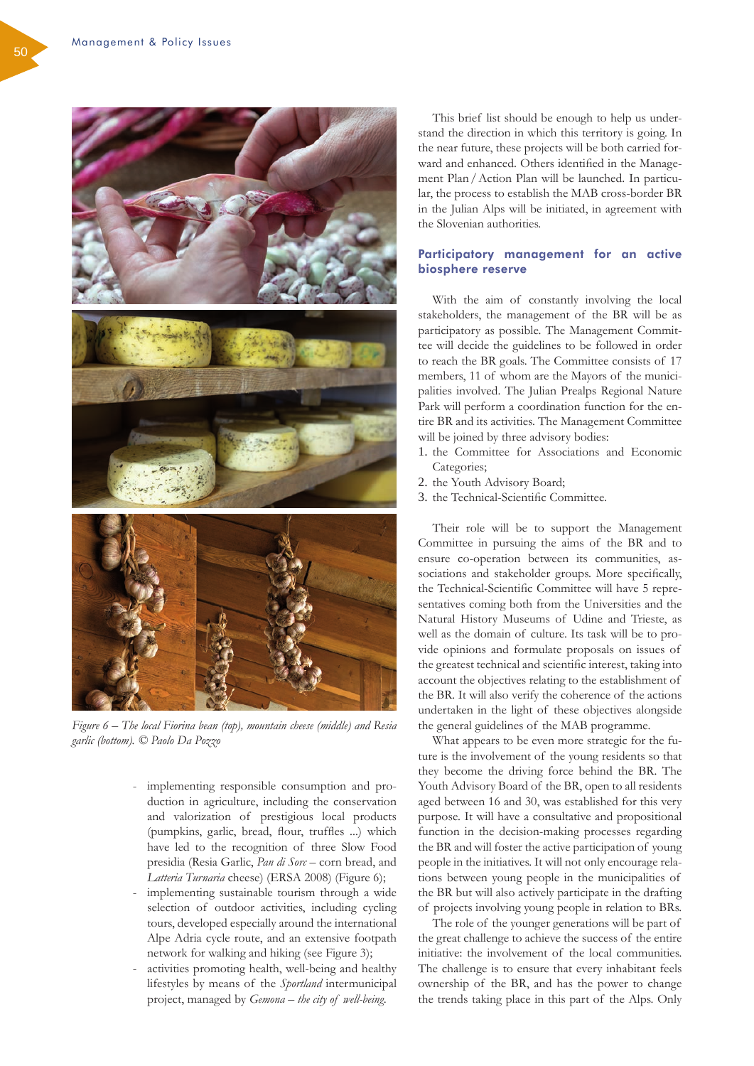

*Figure 6 – The local Fiorina bean (top), mountain cheese (middle) and Resia garlic (bottom). © Paolo Da Pozzo*

- implementing responsible consumption and production in agriculture, including the conservation and valorization of prestigious local products (pumpkins, garlic, bread, flour, truffles ...) which have led to the recognition of three Slow Food presidia (Resia Garlic, *Pan di Sorc* – corn bread, and *Latteria Turnaria* cheese) (ERSA 2008) (Figure 6);
- implementing sustainable tourism through a wide selection of outdoor activities, including cycling tours, developed especially around the international Alpe Adria cycle route, and an extensive footpath network for walking and hiking (see Figure 3);
- activities promoting health, well-being and healthy lifestyles by means of the *Sportland* intermunicipal project, managed by *Gemona – the city of well-being*.

This brief list should be enough to help us understand the direction in which this territory is going. In the near future, these projects will be both carried forward and enhanced. Others identified in the Management Plan/Action Plan will be launched. In particular, the process to establish the MAB cross-border BR in the Julian Alps will be initiated, in agreement with the Slovenian authorities.

## Participatory management for an active biosphere reserve

With the aim of constantly involving the local stakeholders, the management of the BR will be as participatory as possible. The Management Committee will decide the guidelines to be followed in order to reach the BR goals. The Committee consists of 17 members, 11 of whom are the Mayors of the municipalities involved. The Julian Prealps Regional Nature Park will perform a coordination function for the entire BR and its activities. The Management Committee will be joined by three advisory bodies:

- 1. the Committee for Associations and Economic Categories;
- 2. the Youth Advisory Board;
- 3. the Technical-Scientific Committee.

Their role will be to support the Management Committee in pursuing the aims of the BR and to ensure co-operation between its communities, associations and stakeholder groups. More specifically, the Technical-Scientific Committee will have 5 representatives coming both from the Universities and the Natural History Museums of Udine and Trieste, as well as the domain of culture. Its task will be to provide opinions and formulate proposals on issues of the greatest technical and scientific interest, taking into account the objectives relating to the establishment of the BR. It will also verify the coherence of the actions undertaken in the light of these objectives alongside the general guidelines of the MAB programme.

What appears to be even more strategic for the future is the involvement of the young residents so that they become the driving force behind the BR. The Youth Advisory Board of the BR, open to all residents aged between 16 and 30, was established for this very purpose. It will have a consultative and propositional function in the decision-making processes regarding the BR and will foster the active participation of young people in the initiatives. It will not only encourage relations between young people in the municipalities of the BR but will also actively participate in the drafting of projects involving young people in relation to BRs.

The role of the younger generations will be part of the great challenge to achieve the success of the entire initiative: the involvement of the local communities. The challenge is to ensure that every inhabitant feels ownership of the BR, and has the power to change the trends taking place in this part of the Alps. Only